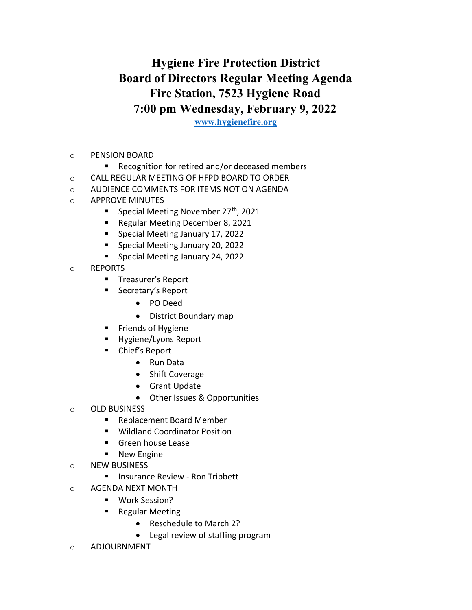## Hygiene Fire Protection District Board of Directors Regular Meeting Agenda Fire Station, 7523 Hygiene Road 7:00 pm Wednesday, February 9, 2022

www.hygienefire.org

- o PENSION BOARD
	- Recognition for retired and/or deceased members
- o CALL REGULAR MEETING OF HFPD BOARD TO ORDER
- o AUDIENCE COMMENTS FOR ITEMS NOT ON AGENDA
- o APPROVE MINUTES
	- **Special Meeting November 27th, 2021**
	- Regular Meeting December 8, 2021
	- **Special Meeting January 17, 2022**
	- **Special Meeting January 20, 2022**
	- **Special Meeting January 24, 2022**
- o REPORTS
	- **Treasurer's Report**
	- Secretary's Report
		- PO Deed
		- District Boundary map
	- **Fiends of Hygiene**
	- **Hygiene/Lyons Report**
	- Chief's Report
		- Run Data
		- Shift Coverage
		- **•** Grant Update
		- Other Issues & Opportunities
- o OLD BUSINESS
	- Replacement Board Member
	- Wildland Coordinator Position
	- **Green house Lease**
	- **New Engine**
- o NEW BUSINESS
	- **Insurance Review Ron Tribbett**
- o AGENDA NEXT MONTH
	- Work Session?
	- Regular Meeting
		- Reschedule to March 2?
		- Legal review of staffing program
- o ADJOURNMENT